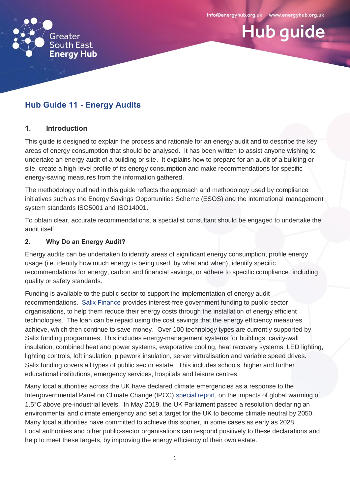**Hub guide** 



### **Hub Guide 11 - Energy Audits**

#### **1. Introduction**

This guide is designed to explain the process and rationale for an energy audit and to describe the key areas of energy consumption that should be analysed.It has been written to assist anyone wishing to undertake an energy audit of a building or site. It explains how to prepare for an audit of a building or site, create a high-level profile of its energy consumption and make recommendations for specific energy-saving measures from the information gathered.

The methodology outlined in this guide reflects the approach and methodology used by compliance initiatives such as the Energy Savings Opportunities Scheme (ESOS) and the international management system standards ISO5001 and ISO14001.

To obtain clear, accurate recommendations, a specialist consultant should be engaged to undertake the audit itself.

#### **2. Why Do an Energy Audit?**

Energy audits can be undertaken to identify areas of significant energy consumption, profile energy usage (i.e. identify how much energy is being used, by what and when), identify specific recommendations for energy, carbon and financial savings, or adhere to specific compliance, including quality or safety standards.

Funding is available to the public sector to support the implementation of energy audit recommendations. Salix [Finance](http://www.salixfinance.co.uk/) provides interest-free government funding to public-sector organisations, to help them reduce their energy costs through the installation of energy efficient technologies. The loan can be repaid using the cost savings that the energy efficiency measures achieve, which then continue to save money. Over 100 technology types are currently supported by Salix funding programmes. This includes energy-management systems for buildings, cavity-wall insulation, combined heat and power systems, evaporative cooling, heat recovery systems, LED lighting, lighting controls, loft insulation, pipework insulation, server virtualisation and variable speed drives. Salix funding covers all types of public sector estate. This includes schools, higher and further educational institutions, emergency services, hospitals and leisure centres.

Many local authorities across the UK have declared climate emergencies as a response to the Intergovernmental Panel on Climate Change (IPCC) [special report,](https://www.ipcc.ch/report/srccl/) on the impacts of global warming of 1.5°C above pre-industrial levels. In May 2019, the UK Parliament passed a resolution declaring an environmental and climate emergency and set a target for the UK to become climate neutral by 2050. Many local authorities have committed to achieve this sooner, in some cases as early as 2028. Local authorities and other public-sector organisations can respond positively to these declarations and help to meet these targets, by improving the energy efficiency of their own estate.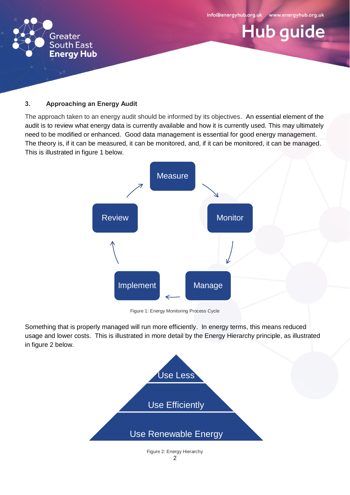

#### **3. Approaching an Energy Audit**

The approach taken to an energy audit should be informed by its objectives. An essential element of the audit is to review what energy data is currently available and how it is currently used. This may ultimately need to be modified or enhanced. Good data management is essential for good energy management. The theory is, if it can be measured, it can be monitored, and, if it can be monitored, it can be managed. This is illustrated in figure 1 below.



Figure 1: Energy Monitoring Process Cycle

Something that is properly managed will run more efficiently. In energy terms, this means reduced usage and lower costs. This is illustrated in more detail by the Energy Hierarchy principle, as illustrated in figure 2 below.

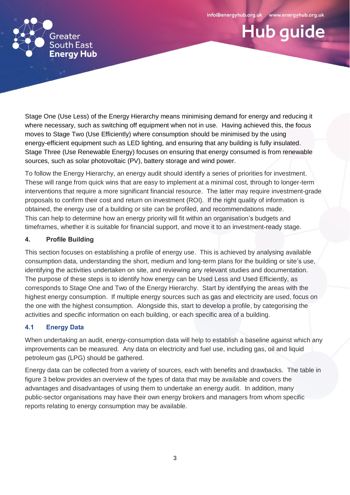**Hub guide** 



Stage One (Use Less) of the Energy Hierarchy means minimising demand for energy and reducing it where necessary, such as switching off equipment when not in use. Having achieved this, the focus moves to Stage Two (Use Efficiently) where consumption should be minimised by the using energy-efficient equipment such as LED lighting, and ensuring that any building is fully insulated. Stage Three (Use Renewable Energy) focuses on ensuring that energy consumed is from renewable sources, such as solar photovoltaic (PV), battery storage and wind power.

To follow the Energy Hierarchy, an energy audit should identify a series of priorities for investment. These will range from quick wins that are easy to implement at a minimal cost, through to longer-term interventions that require a more significant financial resource. The latter may require investment-grade proposals to confirm their cost and return on investment (ROI). If the right quality of information is obtained, the energy use of a building or site can be profiled, and recommendations made. This can help to determine how an energy priority will fit within an organisation's budgets and timeframes, whether it is suitable for financial support, and move it to an investment-ready stage.

#### **4. Profile Building**

This section focuses on establishing a profile of energy use. This is achieved by analysing available consumption data, understanding the short, medium and long-term plans for the building or site's use, identifying the activities undertaken on site, and reviewing any relevant studies and documentation. The purpose of these steps is to identify how energy can be Used Less and Used Efficiently, as corresponds to Stage One and Two of the Energy Hierarchy. Start by identifying the areas with the highest energy consumption. If multiple energy sources such as gas and electricity are used, focus on the one with the highest consumption. Alongside this, start to develop a profile, by categorising the activities and specific information on each building, or each specific area of a building.

#### **4.1 Energy Data**

When undertaking an audit, energy-consumption data will help to establish a baseline against which any improvements can be measured. Any data on electricity and fuel use, including gas, oil and liquid petroleum gas (LPG) should be gathered.

Energy data can be collected from a variety of sources, each with benefits and drawbacks. The table in figure 3 below provides an overview of the types of data that may be available and covers the advantages and disadvantages of using them to undertake an energy audit. In addition, many public-sector organisations may have their own energy brokers and managers from whom specific reports relating to energy consumption may be available.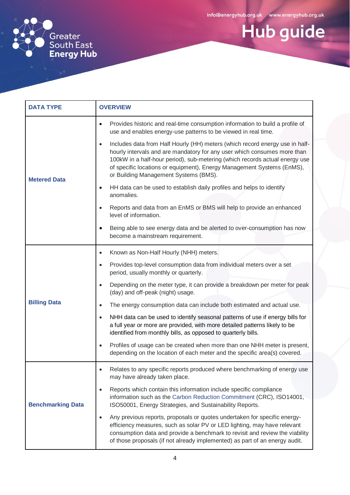

| <b>DATA TYPE</b>         | <b>OVERVIEW</b>                                                                                                                                                                                                                                                                                                                                                         |
|--------------------------|-------------------------------------------------------------------------------------------------------------------------------------------------------------------------------------------------------------------------------------------------------------------------------------------------------------------------------------------------------------------------|
|                          | Provides historic and real-time consumption information to build a profile of<br>$\bullet$<br>use and enables energy-use patterns to be viewed in real time.                                                                                                                                                                                                            |
| <b>Metered Data</b>      | Includes data from Half Hourly (HH) meters (which record energy use in half-<br>$\bullet$<br>hourly intervals and are mandatory for any user which consumes more than<br>100kW in a half-hour period), sub-metering (which records actual energy use<br>of specific locations or equipment), Energy Management Systems (EnMS),<br>or Building Management Systems (BMS). |
|                          | HH data can be used to establish daily profiles and helps to identify<br>$\bullet$<br>anomalies.                                                                                                                                                                                                                                                                        |
|                          | Reports and data from an EnMS or BMS will help to provide an enhanced<br>$\bullet$<br>level of information.                                                                                                                                                                                                                                                             |
|                          | Being able to see energy data and be alerted to over-consumption has now<br>$\bullet$<br>become a mainstream requirement.                                                                                                                                                                                                                                               |
|                          | Known as Non-Half Hourly (NHH) meters.<br>$\bullet$                                                                                                                                                                                                                                                                                                                     |
|                          | Provides top-level consumption data from individual meters over a set<br>$\bullet$<br>period, usually monthly or quarterly.                                                                                                                                                                                                                                             |
|                          | Depending on the meter type, it can provide a breakdown per meter for peak<br>$\bullet$<br>(day) and off-peak (night) usage.                                                                                                                                                                                                                                            |
| <b>Billing Data</b>      | The energy consumption data can include both estimated and actual use.<br>$\bullet$                                                                                                                                                                                                                                                                                     |
|                          | NHH data can be used to identify seasonal patterns of use if energy bills for<br>$\bullet$<br>a full year or more are provided, with more detailed patterns likely to be<br>identified from monthly bills, as opposed to quarterly bills.                                                                                                                               |
|                          | Profiles of usage can be created when more than one NHH meter is present,<br>$\bullet$<br>depending on the location of each meter and the specific area(s) covered.                                                                                                                                                                                                     |
|                          | Relates to any specific reports produced where benchmarking of energy use<br>may have already taken place.                                                                                                                                                                                                                                                              |
| <b>Benchmarking Data</b> | Reports which contain this information include specific compliance<br>$\bullet$<br>information such as the Carbon Reduction Commitment (CRC), ISO14001,<br>ISO50001, Energy Strategies, and Sustainability Reports.                                                                                                                                                     |
|                          | Any previous reports, proposals or quotes undertaken for specific energy-<br>$\bullet$<br>efficiency measures, such as solar PV or LED lighting, may have relevant<br>consumption data and provide a benchmark to revisit and review the viability<br>of those proposals (if not already implemented) as part of an energy audit.                                       |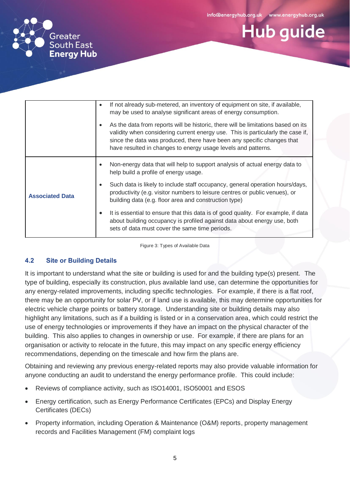

|                        | $\bullet$ | If not already sub-metered, an inventory of equipment on site, if available,<br>may be used to analyse significant areas of energy consumption.                                                                                                                                                                 |
|------------------------|-----------|-----------------------------------------------------------------------------------------------------------------------------------------------------------------------------------------------------------------------------------------------------------------------------------------------------------------|
|                        | $\bullet$ | As the data from reports will be historic, there will be limitations based on its<br>validity when considering current energy use. This is particularly the case if,<br>since the data was produced, there have been any specific changes that<br>have resulted in changes to energy usage levels and patterns. |
|                        | $\bullet$ | Non-energy data that will help to support analysis of actual energy data to<br>help build a profile of energy usage.                                                                                                                                                                                            |
| <b>Associated Data</b> | ٠         | Such data is likely to include staff occupancy, general operation hours/days,<br>productivity (e.g. visitor numbers to leisure centres or public venues), or<br>building data (e.g. floor area and construction type)                                                                                           |
|                        | $\bullet$ | It is essential to ensure that this data is of good quality. For example, if data<br>about building occupancy is profiled against data about energy use, both<br>sets of data must cover the same time periods.                                                                                                 |

Figure 3: Types of Available Data

#### **4.2 Site or Building Details**

It is important to understand what the site or building is used for and the building type(s) present. The type of building, especially its construction, plus available land use, can determine the opportunities for any energy-related improvements, including specific technologies. For example, if there is a flat roof, there may be an opportunity for solar PV, or if land use is available, this may determine opportunities for electric vehicle charge points or battery storage. Understanding site or building details may also highlight any limitations, such as if a building is listed or in a conservation area, which could restrict the use of energy technologies or improvements if they have an impact on the physical character of the building. This also applies to changes in ownership or use. For example, if there are plans for an organisation or activity to relocate in the future, this may impact on any specific energy efficiency recommendations, depending on the timescale and how firm the plans are.

Obtaining and reviewing any previous energy-related reports may also provide valuable information for anyone conducting an audit to understand the energy performance profile. This could include:

- Reviews of compliance activity, such as ISO14001, ISO50001 and ESOS
- Energy certification, such as Energy Performance Certificates (EPCs) and Display Energy Certificates (DECs)
- Property information, including Operation & Maintenance (O&M) reports, property management records and Facilities Management (FM) complaint logs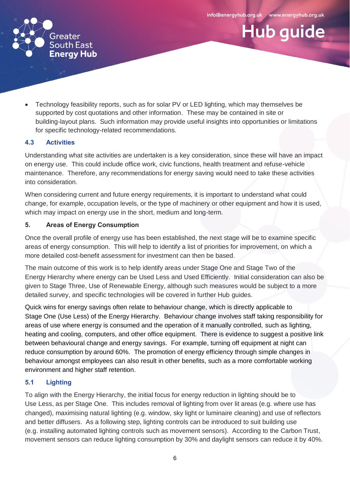**Hub guide** 



 Technology feasibility reports, such as for solar PV or LED lighting, which may themselves be supported by cost quotations and other information. These may be contained in site or building-layout plans. Such information may provide useful insights into opportunities or limitations for specific technology-related recommendations.

#### **4.3 Activities**

Understanding what site activities are undertaken is a key consideration, since these will have an impact on energy use. This could include office work, civic functions, health treatment and refuse-vehicle maintenance. Therefore, any recommendations for energy saving would need to take these activities into consideration.

When considering current and future energy requirements, it is important to understand what could change, for example, occupation levels, or the type of machinery or other equipment and how it is used, which may impact on energy use in the short, medium and long-term.

#### **5. Areas of Energy Consumption**

Once the overall profile of energy use has been established, the next stage will be to examine specific areas of energy consumption. This will help to identify a list of priorities for improvement, on which a more detailed cost-benefit assessment for investment can then be based.

The main outcome of this work is to help identify areas under Stage One and Stage Two of the Energy Hierarchy where energy can be Used Less and Used Efficiently. Initial consideration can also be given to Stage Three, Use of Renewable Energy, although such measures would be subject to a more detailed survey, and specific technologies will be covered in further Hub guides.

Quick wins for energy savings often relate to behaviour change, which is directly applicable to Stage One (Use Less) of the Energy Hierarchy. Behaviour change involves staff taking responsibility for areas of use where energy is consumed and the operation of it manually controlled, such as lighting, heating and cooling, computers, and other office equipment. There is evidence to suggest a positive link between behavioural change and energy savings. For example, turning off equipment at night can reduce consumption by around 60%. The promotion of energy efficiency through simple changes in behaviour amongst employees can also result in other benefits, such as a more comfortable working environment and higher staff retention.

#### **5.1 Lighting**

To align with the Energy Hierarchy, the initial focus for energy reduction in lighting should be to Use Less, as per Stage One. This includes removal of lighting from over lit areas (e.g. where use has changed), maximising natural lighting (e.g. window, sky light or luminaire cleaning) and use of reflectors and better diffusers. As a following step, lighting controls can be introduced to suit building use (e.g. installing automated lighting controls such as movement sensors). According to the Carbon Trust, movement sensors can reduce lighting consumption by 30% and daylight sensors can reduce it by 40%.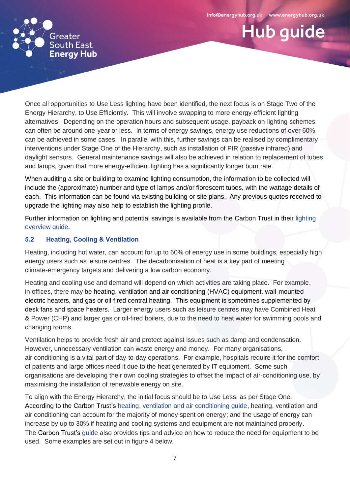**Hub guide** 



Once all opportunities to Use Less lighting have been identified, the next focus is on Stage Two of the Energy Hierarchy, to Use Efficiently. This will involve swapping to more energy-efficient lighting alternatives. Depending on the operation hours and subsequent usage, payback on lighting schemes can often be around one-year or less. In terms of energy savings, energy use reductions of over 60% can be achieved in some cases. In parallel with this, further savings can be realised by complimentary interventions under Stage One of the Hierarchy, such as installation of PIR (passive infrared) and daylight sensors. General maintenance savings will also be achieved in relation to replacement of tubes and lamps, given that more energy-efficient lighting has a significantly longer burn rate.

When auditing a site or building to examine lighting consumption, the information to be collected will include the (approximate) number and type of lamps and/or florescent tubes, with the wattage details of each. This information can be found via existing building or site plans. Any previous quotes received to upgrade the lighting may also help to establish the lighting profile.

Further information on lighting and potential savings is available from the Carbon Trust in their [lighting](https://www.carbontrust.com/resources/lighting-overview-guide)  [overview guide.](https://www.carbontrust.com/resources/lighting-overview-guide)

#### **5.2 Heating, Cooling & Ventilation**

Heating, including hot water, can account for up to 60% of energy use in some buildings, especially high energy users such as leisure centres. The decarbonisation of heat is a key part of meeting climate-emergency targets and delivering a low carbon economy.

Heating and cooling use and demand will depend on which activities are taking place. For example, in offices, there may be heating, ventilation and air conditioning (HVAC) equipment, wall-mounted electric heaters, and gas or oil-fired central heating. This equipment is sometimes supplemented by desk fans and space heaters. Larger energy users such as leisure centres may have Combined Heat & Power (CHP) and larger gas or oil-fired boilers, due to the need to heat water for swimming pools and changing rooms.

Ventilation helps to provide fresh air and protect against issues such as damp and condensation. However, unnecessary ventilation can waste energy and money. For many organisations, air conditioning is a vital part of day-to-day operations. For example, hospitals require it for the comfort of patients and large offices need it due to the heat generated by IT equipment. Some such organisations are developing their own cooling strategies to offset the impact of air-conditioning use, by maximising the installation of renewable energy on site.

To align with the Energy Hierarchy, the initial focus should be to Use Less, as per Stage One. According to the Carbon Trust's [heating, ventilation and air conditioning guide,](https://www.carbontrust.com/resources/heating-ventilation-and-air-conditioning-guide) heating, ventilation and air conditioning can account for the majority of money spent on energy; and the usage of energy can increase by up to 30% if heating and cooling systems and equipment are not maintained properly. The Carbon Trust's [guide](https://www.carbontrust.com/resources/heating-ventilation-and-air-conditioning-guide) also provides tips and advice on how to reduce the need for equipment to be used. Some examples are set out in figure 4 below.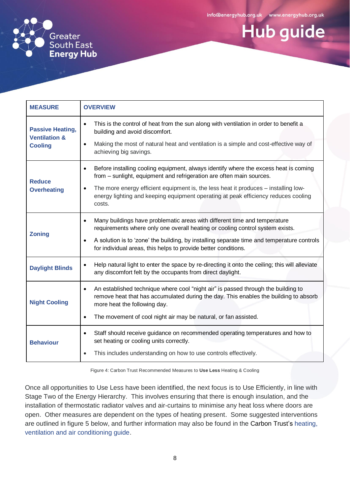



| <b>MEASURE</b>                                                        | <b>OVERVIEW</b>                                                                                                                                                                                                                                                                                                                                                  |
|-----------------------------------------------------------------------|------------------------------------------------------------------------------------------------------------------------------------------------------------------------------------------------------------------------------------------------------------------------------------------------------------------------------------------------------------------|
| <b>Passive Heating,</b><br><b>Ventilation &amp;</b><br><b>Cooling</b> | This is the control of heat from the sun along with ventilation in order to benefit a<br>$\bullet$<br>building and avoid discomfort.<br>Making the most of natural heat and ventilation is a simple and cost-effective way of<br>$\bullet$<br>achieving big savings.                                                                                             |
| <b>Reduce</b><br><b>Overheating</b>                                   | Before installing cooling equipment, always identify where the excess heat is coming<br>$\bullet$<br>from - sunlight, equipment and refrigeration are often main sources.<br>The more energy efficient equipment is, the less heat it produces – installing low-<br>energy lighting and keeping equipment operating at peak efficiency reduces cooling<br>costs. |
| <b>Zoning</b>                                                         | Many buildings have problematic areas with different time and temperature<br>$\bullet$<br>requirements where only one overall heating or cooling control system exists.<br>A solution is to 'zone' the building, by installing separate time and temperature controls<br>for individual areas, this helps to provide better conditions.                          |
| <b>Daylight Blinds</b>                                                | Help natural light to enter the space by re-directing it onto the ceiling; this will alleviate<br>any discomfort felt by the occupants from direct daylight.                                                                                                                                                                                                     |
| <b>Night Cooling</b>                                                  | An established technique where cool "night air" is passed through the building to<br>remove heat that has accumulated during the day. This enables the building to absorb<br>more heat the following day.<br>The movement of cool night air may be natural, or fan assisted.                                                                                     |
| <b>Behaviour</b>                                                      | Staff should receive guidance on recommended operating temperatures and how to<br>$\bullet$<br>set heating or cooling units correctly.<br>This includes understanding on how to use controls effectively.                                                                                                                                                        |

Figure 4: Carbon Trust Recommended Measures to **Use Less** Heating & Cooling

Once all opportunities to Use Less have been identified, the next focus is to Use Efficiently, in line with Stage Two of the Energy Hierarchy. This involves ensuring that there is enough insulation, and the installation of thermostatic radiator valves and air-curtains to minimise any heat loss where doors are open. Other measures are dependent on the types of heating present. Some suggested interventions are outlined in figure 5 below, and further information may also be found in the Carbon Trust's [heating,](https://www.carbontrust.com/resources/heating-ventilation-and-air-conditioning-guide)  [ventilation and air conditioning guide.](https://www.carbontrust.com/resources/heating-ventilation-and-air-conditioning-guide)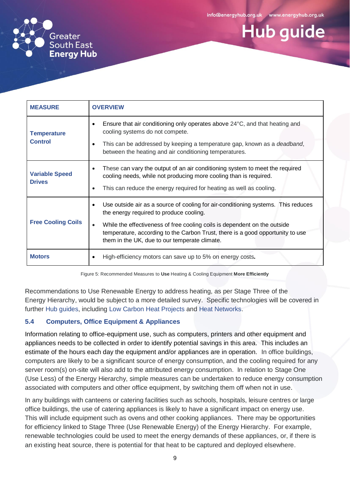

| <b>MEASURE</b>                         | <b>OVERVIEW</b>                                                                                                                                                                                                                                                                                                                              |  |  |  |  |  |
|----------------------------------------|----------------------------------------------------------------------------------------------------------------------------------------------------------------------------------------------------------------------------------------------------------------------------------------------------------------------------------------------|--|--|--|--|--|
| <b>Temperature</b><br><b>Control</b>   | Ensure that air conditioning only operates above 24°C, and that heating and<br>cooling systems do not compete.<br>This can be addressed by keeping a temperature gap, known as a deadband,<br>between the heating and air conditioning temperatures.                                                                                         |  |  |  |  |  |
| <b>Variable Speed</b><br><b>Drives</b> | These can vary the output of an air conditioning system to meet the required<br>cooling needs, while not producing more cooling than is required.<br>This can reduce the energy required for heating as well as cooling.                                                                                                                     |  |  |  |  |  |
| <b>Free Cooling Coils</b>              | Use outside air as a source of cooling for air-conditioning systems. This reduces<br>the energy required to produce cooling.<br>While the effectiveness of free cooling coils is dependent on the outside<br>temperature, according to the Carbon Trust, there is a good opportunity to use<br>them in the UK, due to our temperate climate. |  |  |  |  |  |
| <b>Motors</b>                          | High-efficiency motors can save up to 5% on energy costs.                                                                                                                                                                                                                                                                                    |  |  |  |  |  |

Figure 5: Recommended Measures to **Use** Heating & Cooling Equipment **More Efficiently**

Recommendations to Use Renewable Energy to address heating, as per Stage Three of the Energy Hierarchy, would be subject to a more detailed survey. Specific technologies will be covered in further [Hub guides,](https://www.energyhub.org.uk/resources/hub-guides/) including Low [Carbon Heat Projects](https://www.energyhub.org.uk/wp-content/uploads/2019/10/HubGuide2-Low-Carbon-Heat-PGV0.1Oct2019.pdf) and [Heat Networks.](https://www.energyhub.org.uk/wp-content/uploads/2019/10/HubGuide1-Heat-Networks-SBV0.1Oct2019.pdf)

#### **5.4 Computers, Office Equipment & Appliances**

Information relating to office-equipment use, such as computers, printers and other equipment and appliances needs to be collected in order to identify potential savings in this area. This includes an estimate of the hours each day the equipment and/or appliances are in operation. In office buildings, computers are likely to be a significant source of energy consumption, and the cooling required for any server room(s) on-site will also add to the attributed energy consumption. In relation to Stage One (Use Less) of the Energy Hierarchy, simple measures can be undertaken to reduce energy consumption associated with computers and other office equipment, by switching them off when not in use.

In any buildings with canteens or catering facilities such as schools, hospitals, leisure centres or large office buildings, the use of catering appliances is likely to have a significant impact on energy use. This will include equipment such as ovens and other cooking appliances. There may be opportunities for efficiency linked to Stage Three (Use Renewable Energy) of the Energy Hierarchy. For example, renewable technologies could be used to meet the energy demands of these appliances, or, if there is an existing heat source, there is potential for that heat to be captured and deployed elsewhere.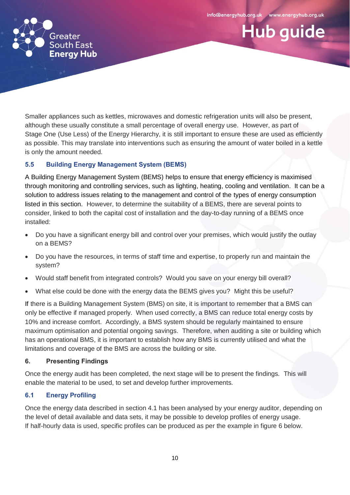**Hub guide** 



Smaller appliances such as kettles, microwaves and domestic refrigeration units will also be present, although these usually constitute a small percentage of overall energy use. However, as part of Stage One (Use Less) of the Energy Hierarchy, it is still important to ensure these are used as efficiently as possible. This may translate into interventions such as ensuring the amount of water boiled in a kettle is only the amount needed.

#### **5.5 Building Energy Management System (BEMS)**

A Building Energy Management System (BEMS) helps to ensure that energy efficiency is maximised through monitoring and controlling services, such as lighting, heating, cooling and ventilation. It can be a solution to address issues relating to the management and control of the types of energy consumption listed in this section. However, to determine the suitability of a BEMS, there are several points to consider, linked to both the capital cost of installation and the day-to-day running of a BEMS once installed:

- Do you have a significant energy bill and control over your premises, which would justify the outlay on a BEMS?
- Do you have the resources, in terms of staff time and expertise, to properly run and maintain the system?
- Would staff benefit from integrated controls? Would you save on your energy bill overall?
- What else could be done with the energy data the BEMS gives you? Might this be useful?

If there is a Building Management System (BMS) on site, it is important to remember that a BMS can only be effective if managed properly. When used correctly, a BMS can reduce total energy costs by 10% and increase comfort. Accordingly, a BMS system should be regularly maintained to ensure maximum optimisation and potential ongoing savings. Therefore, when auditing a site or building which has an operational BMS, it is important to establish how any BMS is currently utilised and what the limitations and coverage of the BMS are across the building or site.

#### **6. Presenting Findings**

Once the energy audit has been completed, the next stage will be to present the findings. This will enable the material to be used, to set and develop further improvements.

#### **6.1 Energy Profiling**

Once the energy data described in section 4.1 has been analysed by your energy auditor, depending on the level of detail available and data sets, it may be possible to develop profiles of energy usage. If half-hourly data is used, specific profiles can be produced as per the example in figure 6 below.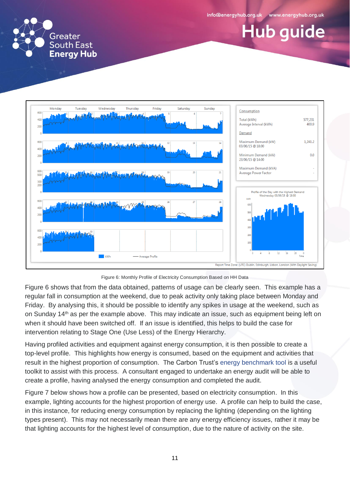



Figure 6: Monthly Profile of Electricity Consumption Based on HH Data

Figure 6 shows that from the data obtained, patterns of usage can be clearly seen. This example has a regular fall in consumption at the weekend, due to peak activity only taking place between Monday and Friday. By analysing this, it should be possible to identify any spikes in usage at the weekend, such as on Sunday 14<sup>th</sup> as per the example above. This may indicate an issue, such as equipment being left on when it should have been switched off. If an issue is identified, this helps to build the case for intervention relating to Stage One (Use Less) of the Energy Hierarchy.

Having profiled activities and equipment against energy consumption, it is then possible to create a top-level profile. This highlights how energy is consumed, based on the equipment and activities that result in the highest proportion of consumption. The Carbon Trust's [energy benchmark tool](https://www.carbontrust.com/resources/energy-benchmark-tool) is a useful toolkit to assist with this process. A consultant engaged to undertake an energy audit will be able to create a profile, having analysed the energy consumption and completed the audit.

Figure 7 below shows how a profile can be presented, based on electricity consumption. In this example, lighting accounts for the highest proportion of energy use. A profile can help to build the case, in this instance, for reducing energy consumption by replacing the lighting (depending on the lighting types present). This may not necessarily mean there are any energy efficiency issues, rather it may be that lighting accounts for the highest level of consumption, due to the nature of activity on the site.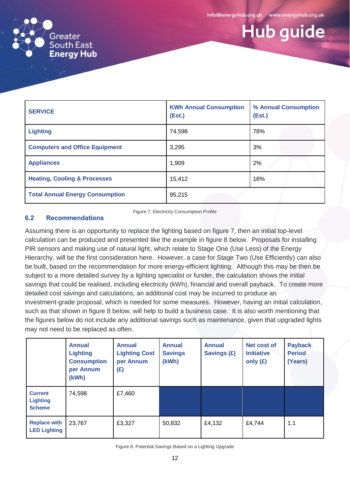

| <b>SERVICE</b>                          | <b>KWh Annual Consumption</b><br>(Est.) | % Annual Consumption<br>(Est.) |  |
|-----------------------------------------|-----------------------------------------|--------------------------------|--|
| <b>Lighting</b>                         | 74,598                                  | 78%                            |  |
| <b>Computers and Office Equipment</b>   | 3,295                                   | 3%                             |  |
| <b>Appliances</b>                       | 1,909                                   | 2%                             |  |
| <b>Heating, Cooling &amp; Processes</b> | 15,412                                  | 16%                            |  |
| <b>Total Annual Energy Consumption</b>  | 95,215                                  |                                |  |

Figure 7: Electricity Consumption Profile

#### **6.2 Recommendations**

Assuming there is an opportunity to replace the lighting based on figure 7, then an initial top-level calculation can be produced and presented like the example in figure 8 below. Proposals for installing PIR sensors and making use of natural light, which relate to Stage One (Use Less) of the Energy Hierarchy, will be the first consideration here. However, a case for Stage Two (Use Efficiently) can also be built, based on the recommendation for more energy-efficient lighting. Although this may be then be subject to a more detailed survey by a lighting specialist or funder, the calculation shows the initial savings that could be realised, including electricity (kWh), financial and overall payback. To create more detailed cost savings and calculations, an additional cost may be incurred to produce an investment-grade proposal, which is needed for some measures. However, having an initial calculation, such as that shown in figure 8 below, will help to build a business case. It is also worth mentioning that the figures below do not include any additional savings such as maintenance, given that upgraded lights may not need to be replaced as often.

|                                                    | <b>Annual</b><br><b>Lighting</b><br><b>Consumption</b><br>per Annum<br>(kWh) | <b>Annual</b><br><b>Lighting Cost</b><br>per Annum<br>$(\hat{f})$ | <b>Annual</b><br><b>Savings</b><br>(kWh) | <b>Annual</b><br>Savings (£) | <b>Net cost of</b><br><b>Initiative</b><br>only $(E)$ | <b>Payback</b><br><b>Period</b><br>(Years) |
|----------------------------------------------------|------------------------------------------------------------------------------|-------------------------------------------------------------------|------------------------------------------|------------------------------|-------------------------------------------------------|--------------------------------------------|
| <b>Current</b><br><b>Lighting</b><br><b>Scheme</b> | 74,598                                                                       | £7,460                                                            |                                          |                              |                                                       |                                            |
| <b>Replace with</b><br><b>LED Lighting</b>         | 23,767                                                                       | £3,327                                                            | 50,832                                   | £4,132                       | £4,744                                                | 1.1                                        |

Figure 8: Potential Savings Based on a Lighting Upgrade